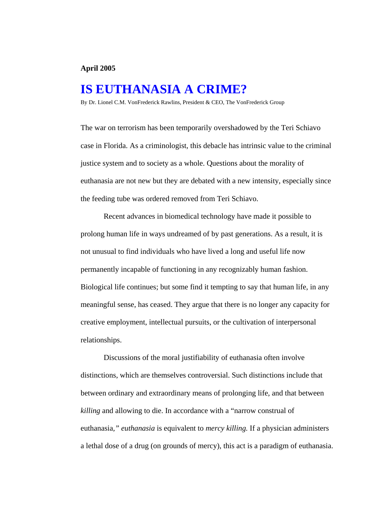## **April 2005**

## **IS EUTHANASIA A CRIME?**

By Dr. Lionel C.M. VonFrederick Rawlins, President & CEO, The VonFrederick Group

The war on terrorism has been temporarily overshadowed by the Teri Schiavo case in Florida. As a criminologist, this debacle has intrinsic value to the criminal justice system and to society as a whole. Questions about the morality of euthanasia are not new but they are debated with a new intensity, especially since the feeding tube was ordered removed from Teri Schiavo.

 Recent advances in biomedical technology have made it possible to prolong human life in ways undreamed of by past generations. As a result, it is not unusual to find individuals who have lived a long and useful life now permanently incapable of functioning in any recognizably human fashion. Biological life continues; but some find it tempting to say that human life, in any meaningful sense, has ceased. They argue that there is no longer any capacity for creative employment, intellectual pursuits, or the cultivation of interpersonal relationships.

 Discussions of the moral justifiability of euthanasia often involve distinctions, which are themselves controversial. Such distinctions include that between ordinary and extraordinary means of prolonging life, and that between *killing* and allowing to die. In accordance with a "narrow construal of euthanasia*," euthanasia* is equivalent to *mercy killing.* If a physician administers a lethal dose of a drug (on grounds of mercy), this act is a paradigm of euthanasia.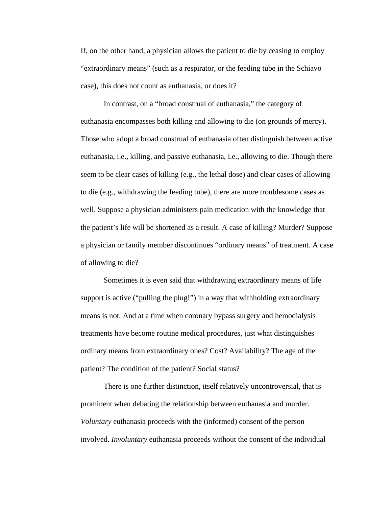If, on the other hand, a physician allows the patient to die by ceasing to employ "extraordinary means" (such as a respirator, or the feeding tube in the Schiavo case), this does not count as euthanasia, or does it?

 In contrast, on a "broad construal of euthanasia," the category of euthanasia encompasses both killing and allowing to die (on grounds of mercy). Those who adopt a broad construal of euthanasia often distinguish between active euthanasia, i.e., killing, and passive euthanasia, i.e., allowing to die. Though there seem to be clear cases of killing (e.g., the lethal dose) and clear cases of allowing to die (e.g., withdrawing the feeding tube), there are more troublesome cases as well. Suppose a physician administers pain medication with the knowledge that the patient's life will be shortened as a result. A case of killing? Murder? Suppose a physician or family member discontinues "ordinary means" of treatment. A case of allowing to die?

 Sometimes it is even said that withdrawing extraordinary means of life support is active ("pulling the plug!") in a way that withholding extraordinary means is not. And at a time when coronary bypass surgery and hemodialysis treatments have become routine medical procedures, just what distinguishes ordinary means from extraordinary ones? Cost? Availability? The age of the patient? The condition of the patient? Social status?

 There is one further distinction, itself relatively uncontroversial, that is prominent when debating the relationship between euthanasia and murder. *Voluntary* euthanasia proceeds with the (informed) consent of the person involved. *Involuntary* euthanasia proceeds without the consent of the individual